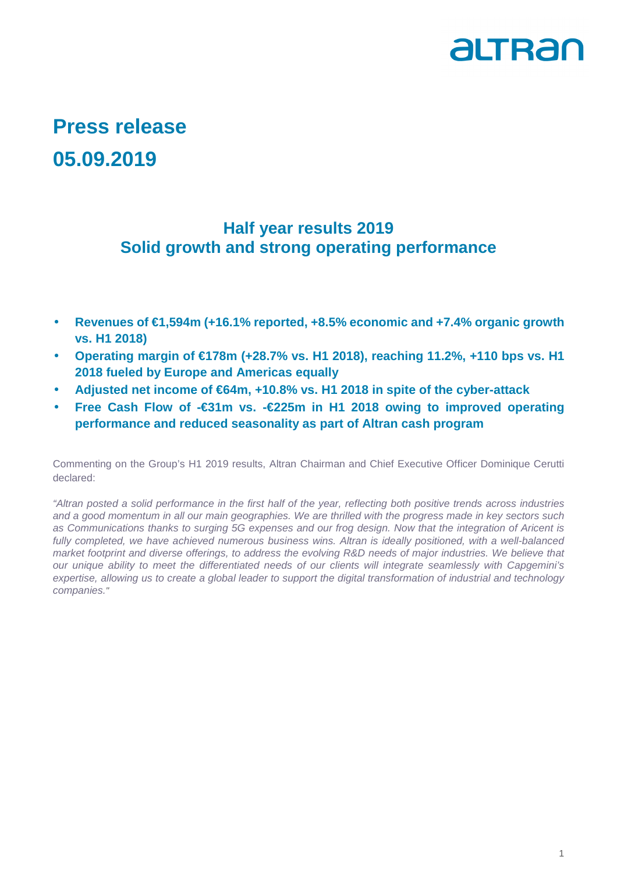

## **Press release 05.09.2019**

## **Half year results 2019 Solid growth and strong operating performance**

- **Revenues of €1,594m (+16.1% reported, +8.5% economic and +7.4% organic growth vs. H1 2018)**
- **Operating margin of €178m (+28.7% vs. H1 2018), reaching 11.2%, +110 bps vs. H1 2018 fueled by Europe and Americas equally**
- **Adjusted net income of €64m, +10.8% vs. H1 2018 in spite of the cyber-attack**
- **Free Cash Flow of -€31m vs. -€225m in H1 2018 owing to improved operating performance and reduced seasonality as part of Altran cash program**

Commenting on the Group's H1 2019 results, Altran Chairman and Chief Executive Officer Dominique Cerutti declared:

"Altran posted a solid performance in the first half of the year, reflecting both positive trends across industries and a good momentum in all our main geographies. We are thrilled with the progress made in key sectors such as Communications thanks to surging 5G expenses and our frog design. Now that the integration of Aricent is fully completed, we have achieved numerous business wins. Altran is ideally positioned, with a well-balanced market footprint and diverse offerings, to address the evolving R&D needs of major industries. We believe that our unique ability to meet the differentiated needs of our clients will integrate seamlessly with Capgemini's expertise, allowing us to create a global leader to support the digital transformation of industrial and technology companies."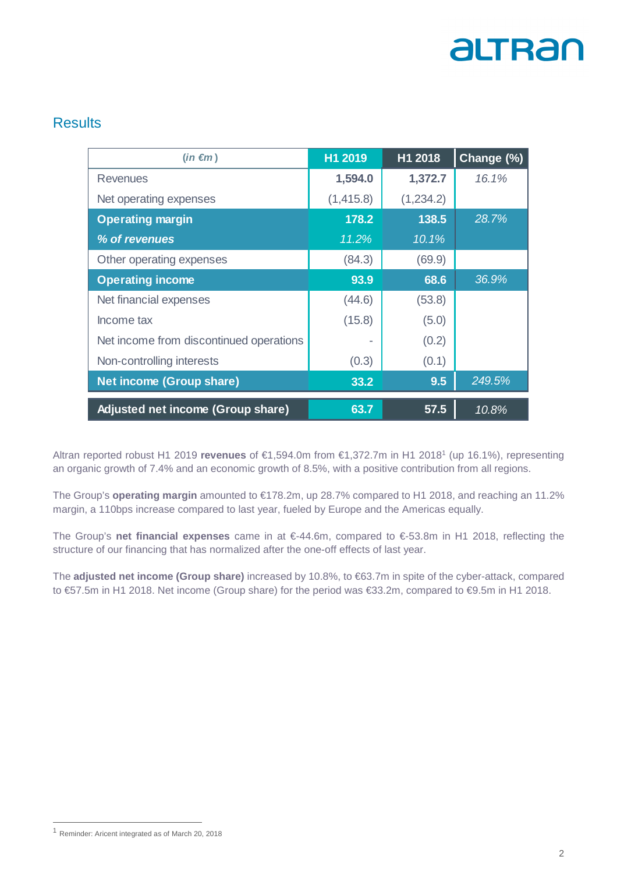

### **Results**

| $(in \in m)$                            | H1 2019   | H1 2018   | Change (%) |
|-----------------------------------------|-----------|-----------|------------|
| Revenues                                | 1,594.0   | 1,372.7   | 16.1%      |
| Net operating expenses                  | (1,415.8) | (1,234.2) |            |
| <b>Operating margin</b>                 | 178.2     | 138.5     | 28.7%      |
| % of revenues                           | 11.2%     | 10.1%     |            |
| Other operating expenses                | (84.3)    | (69.9)    |            |
| <b>Operating income</b>                 | 93.9      | 68.6      | 36.9%      |
| Net financial expenses                  | (44.6)    | (53.8)    |            |
| Income tax                              | (15.8)    | (5.0)     |            |
| Net income from discontinued operations |           | (0.2)     |            |
| Non-controlling interests               | (0.3)     | (0.1)     |            |
| Net income (Group share)                | 33.2      | 9.5       | 249.5%     |
| Adjusted net income (Group share)       | 63.7      | 57.5      | 10.8%      |

Altran reported robust H1 2019 **revenues** of €1,594.0m from €1,372.7m in H1 2018<sup>1</sup> (up 16.1%), representing an organic growth of 7.4% and an economic growth of 8.5%, with a positive contribution from all regions.

The Group's **operating margin** amounted to €178.2m, up 28.7% compared to H1 2018, and reaching an 11.2% margin, a 110bps increase compared to last year, fueled by Europe and the Americas equally.

The Group's **net financial expenses** came in at €-44.6m, compared to €-53.8m in H1 2018, reflecting the structure of our financing that has normalized after the one-off effects of last year.

The **adjusted net income (Group share)** increased by 10.8%, to €63.7m in spite of the cyber-attack, compared to €57.5m in H1 2018. Net income (Group share) for the period was €33.2m, compared to €9.5m in H1 2018.

 $\overline{a}$ 

<sup>1</sup> Reminder: Aricent integrated as of March 20, 2018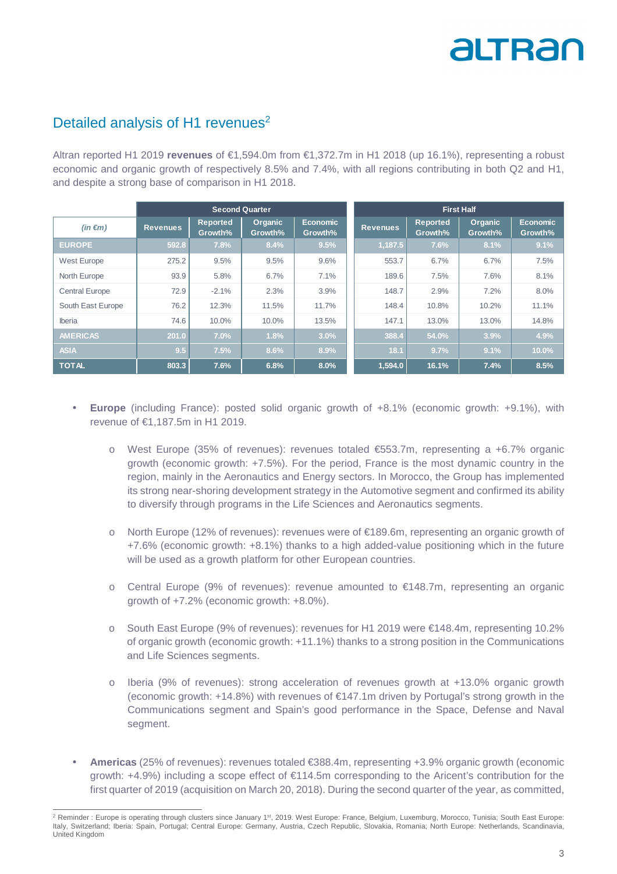# altran

### Detailed analysis of H1 revenues<sup>2</sup>

Altran reported H1 2019 **revenues** of €1,594.0m from €1,372.7m in H1 2018 (up 16.1%), representing a robust economic and organic growth of respectively 8.5% and 7.4%, with all regions contributing in both Q2 and H1, and despite a strong base of comparison in H1 2018.

|                       | <b>Second Quarter</b> |                            |                           | <b>First Half</b>          |                 |                            |                           |                            |
|-----------------------|-----------------------|----------------------------|---------------------------|----------------------------|-----------------|----------------------------|---------------------------|----------------------------|
| $(in \in m)$          | <b>Revenues</b>       | <b>Reported</b><br>Growth% | <b>Organic</b><br>Growth% | <b>Economic</b><br>Growth% | <b>Revenues</b> | <b>Reported</b><br>Growth% | <b>Organic</b><br>Growth% | <b>Economic</b><br>Growth% |
| <b>EUROPE</b>         | 592.8                 | 7.8%                       | 8.4%                      | 9.5%                       | 1,187.5         | 7.6%                       | 8.1%                      | 9.1%                       |
| West Europe           | 275.2                 | 9.5%                       | 9.5%                      | 9.6%                       | 553.7           | 6.7%                       | 6.7%                      | 7.5%                       |
| North Europe          | 93.9                  | 5.8%                       | 6.7%                      | 7.1%                       | 189.6           | 7.5%                       | 7.6%                      | 8.1%                       |
| <b>Central Europe</b> | 72.9                  | $-2.1%$                    | 2.3%                      | 3.9%                       | 148.7           | 2.9%                       | 7.2%                      | 8.0%                       |
| South East Europe     | 76.2                  | 12.3%                      | 11.5%                     | 11.7%                      | 148.4           | 10.8%                      | 10.2%                     | 11.1%                      |
| <b>Iberia</b>         | 74.6                  | 10.0%                      | 10.0%                     | 13.5%                      | 147.1           | 13.0%                      | 13.0%                     | 14.8%                      |
| <b>AMERICAS</b>       | 201.0                 | 7.0%                       | 1.8%                      | 3.0%                       | 388.4           | 54.0%                      | 3.9%                      | 4.9%                       |
| <b>ASIA</b>           | 9.5                   | 7.5%                       | 8.6%                      | 8.9%                       | 18.1            | 9.7%                       | 9.1%                      | 10.0%                      |
| <b>TOTAL</b>          | 803.3                 | 7.6%                       | 6.8%                      | 8.0%                       | 1,594.0         | 16.1%                      | 7.4%                      | 8.5%                       |

- **Europe** (including France): posted solid organic growth of +8.1% (economic growth: +9.1%), with revenue of €1,187.5m in H1 2019.
	- o West Europe (35% of revenues): revenues totaled €553.7m, representing a +6.7% organic growth (economic growth: +7.5%). For the period, France is the most dynamic country in the region, mainly in the Aeronautics and Energy sectors. In Morocco, the Group has implemented its strong near-shoring development strategy in the Automotive segment and confirmed its ability to diversify through programs in the Life Sciences and Aeronautics segments.
	- o North Europe (12% of revenues): revenues were of €189.6m, representing an organic growth of +7.6% (economic growth: +8.1%) thanks to a high added-value positioning which in the future will be used as a growth platform for other European countries.
	- o Central Europe (9% of revenues): revenue amounted to  $\epsilon$ 148.7m, representing an organic growth of +7.2% (economic growth: +8.0%).
	- o South East Europe (9% of revenues): revenues for H1 2019 were €148.4m, representing 10.2% of organic growth (economic growth: +11.1%) thanks to a strong position in the Communications and Life Sciences segments.
	- o Iberia (9% of revenues): strong acceleration of revenues growth at +13.0% organic growth (economic growth: +14.8%) with revenues of €147.1m driven by Portugal's strong growth in the Communications segment and Spain's good performance in the Space, Defense and Naval segment.
- **Americas** (25% of revenues): revenues totaled €388.4m, representing +3.9% organic growth (economic growth: +4.9%) including a scope effect of €114.5m corresponding to the Aricent's contribution for the first quarter of 2019 (acquisition on March 20, 2018). During the second quarter of the year, as committed,

 $\overline{a}$ <sup>2</sup> Reminder : Europe is operating through clusters since January 1<sup>st</sup>, 2019. West Europe: France, Belgium, Luxemburg, Morocco, Tunisia; South East Europe: Italy, Switzerland; Iberia: Spain, Portugal; Central Europe: Germany, Austria, Czech Republic, Slovakia, Romania; North Europe: Netherlands, Scandinavia, United Kingdom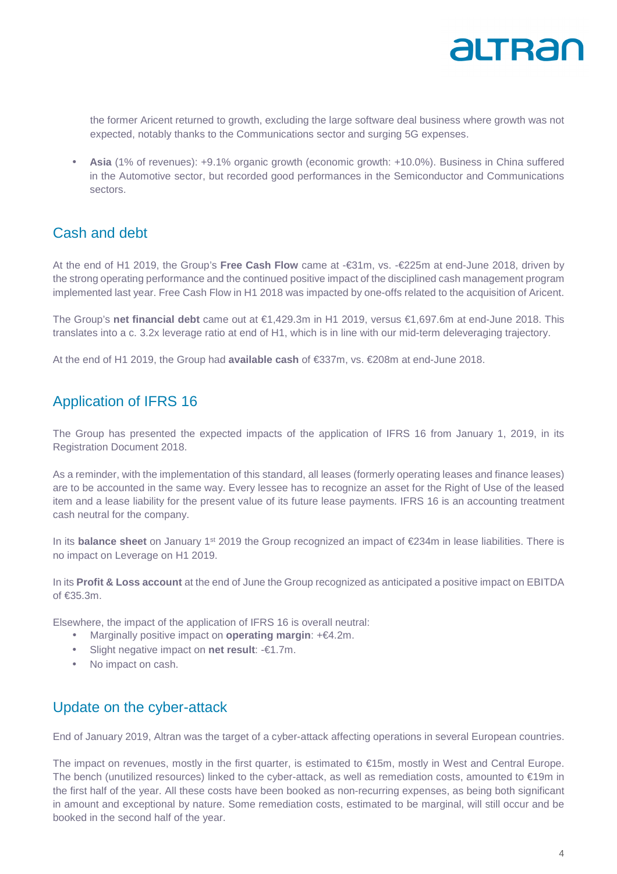

the former Aricent returned to growth, excluding the large software deal business where growth was not expected, notably thanks to the Communications sector and surging 5G expenses.

• **Asia** (1% of revenues): +9.1% organic growth (economic growth: +10.0%). Business in China suffered in the Automotive sector, but recorded good performances in the Semiconductor and Communications sectors.

### Cash and debt

At the end of H1 2019, the Group's **Free Cash Flow** came at -€31m, vs. -€225m at end-June 2018, driven by the strong operating performance and the continued positive impact of the disciplined cash management program implemented last year. Free Cash Flow in H1 2018 was impacted by one-offs related to the acquisition of Aricent.

The Group's **net financial debt** came out at €1,429.3m in H1 2019, versus €1,697.6m at end-June 2018. This translates into a c. 3.2x leverage ratio at end of H1, which is in line with our mid-term deleveraging trajectory.

At the end of H1 2019, the Group had **available cash** of €337m, vs. €208m at end-June 2018.

### Application of IFRS 16

The Group has presented the expected impacts of the application of IFRS 16 from January 1, 2019, in its Registration Document 2018.

As a reminder, with the implementation of this standard, all leases (formerly operating leases and finance leases) are to be accounted in the same way. Every lessee has to recognize an asset for the Right of Use of the leased item and a lease liability for the present value of its future lease payments. IFRS 16 is an accounting treatment cash neutral for the company.

In its **balance sheet** on January 1st 2019 the Group recognized an impact of €234m in lease liabilities. There is no impact on Leverage on H1 2019.

In its **Profit & Loss account** at the end of June the Group recognized as anticipated a positive impact on EBITDA of €35.3m.

Elsewhere, the impact of the application of IFRS 16 is overall neutral:

- Marginally positive impact on **operating margin**: +€4.2m.
- Slight negative impact on **net result**: -€1.7m.
- No impact on cash.

### Update on the cyber-attack

End of January 2019, Altran was the target of a cyber-attack affecting operations in several European countries.

The impact on revenues, mostly in the first quarter, is estimated to €15m, mostly in West and Central Europe. The bench (unutilized resources) linked to the cyber-attack, as well as remediation costs, amounted to €19m in the first half of the year. All these costs have been booked as non-recurring expenses, as being both significant in amount and exceptional by nature. Some remediation costs, estimated to be marginal, will still occur and be booked in the second half of the year.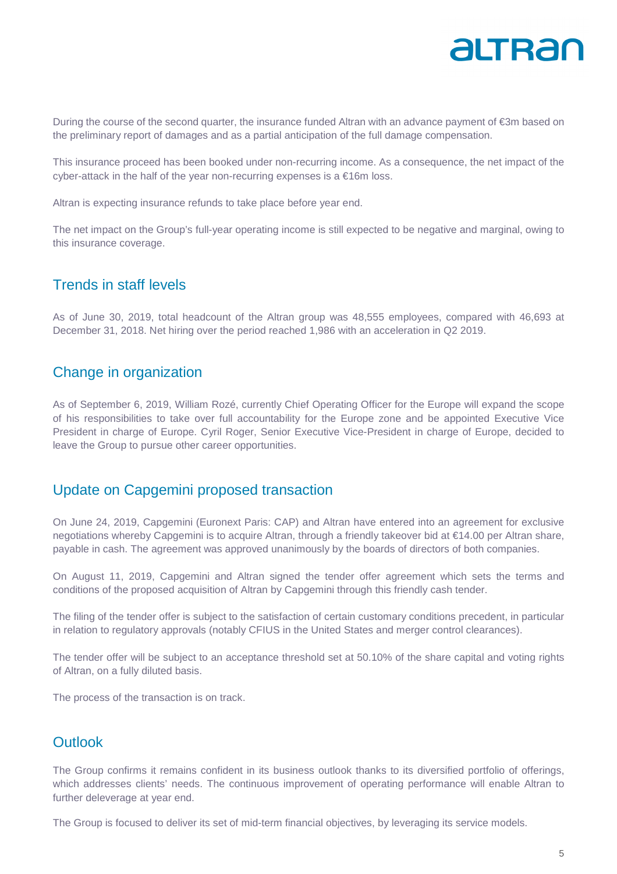

During the course of the second quarter, the insurance funded Altran with an advance payment of €3m based on the preliminary report of damages and as a partial anticipation of the full damage compensation.

This insurance proceed has been booked under non-recurring income. As a consequence, the net impact of the cyber-attack in the half of the year non-recurring expenses is a €16m loss.

Altran is expecting insurance refunds to take place before year end.

The net impact on the Group's full-year operating income is still expected to be negative and marginal, owing to this insurance coverage.

### Trends in staff levels

As of June 30, 2019, total headcount of the Altran group was 48,555 employees, compared with 46,693 at December 31, 2018. Net hiring over the period reached 1,986 with an acceleration in Q2 2019.

### Change in organization

As of September 6, 2019, William Rozé, currently Chief Operating Officer for the Europe will expand the scope of his responsibilities to take over full accountability for the Europe zone and be appointed Executive Vice President in charge of Europe. Cyril Roger, Senior Executive Vice-President in charge of Europe, decided to leave the Group to pursue other career opportunities.

### Update on Capgemini proposed transaction

On June 24, 2019, Capgemini (Euronext Paris: CAP) and Altran have entered into an agreement for exclusive negotiations whereby Capgemini is to acquire Altran, through a friendly takeover bid at €14.00 per Altran share, payable in cash. The agreement was approved unanimously by the boards of directors of both companies.

On August 11, 2019, Capgemini and Altran signed the tender offer agreement which sets the terms and conditions of the proposed acquisition of Altran by Capgemini through this friendly cash tender.

The filing of the tender offer is subject to the satisfaction of certain customary conditions precedent, in particular in relation to regulatory approvals (notably CFIUS in the United States and merger control clearances).

The tender offer will be subject to an acceptance threshold set at 50.10% of the share capital and voting rights of Altran, on a fully diluted basis.

The process of the transaction is on track.

### **Outlook**

The Group confirms it remains confident in its business outlook thanks to its diversified portfolio of offerings, which addresses clients' needs. The continuous improvement of operating performance will enable Altran to further deleverage at year end.

The Group is focused to deliver its set of mid-term financial objectives, by leveraging its service models.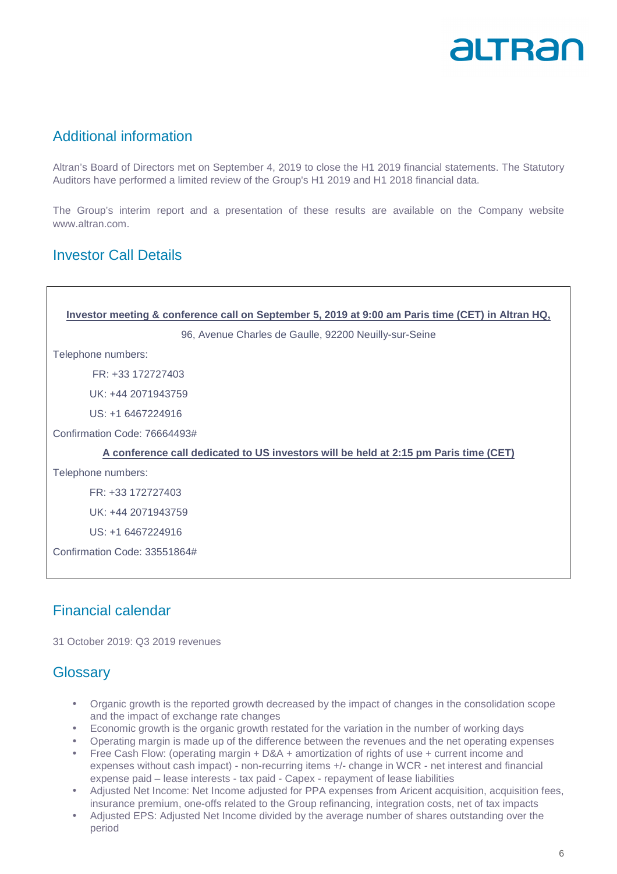## altrar

### Additional information

Altran's Board of Directors met on September 4, 2019 to close the H1 2019 financial statements. The Statutory Auditors have performed a limited review of the Group's H1 2019 and H1 2018 financial data.

The Group's interim report and a presentation of these results are available on the Company website www.altran.com.

### Investor Call Details

| Investor meeting & conference call on September 5, 2019 at 9:00 am Paris time (CET) in Altran HQ, |  |  |  |  |  |
|---------------------------------------------------------------------------------------------------|--|--|--|--|--|
| 96, Avenue Charles de Gaulle, 92200 Neuilly-sur-Seine                                             |  |  |  |  |  |
| Telephone numbers:                                                                                |  |  |  |  |  |
| FR: +33 172727403                                                                                 |  |  |  |  |  |
| UK: +44 2071943759                                                                                |  |  |  |  |  |
| US: +1 6467224916                                                                                 |  |  |  |  |  |
| Confirmation Code: 76664493#                                                                      |  |  |  |  |  |
| A conference call dedicated to US investors will be held at 2:15 pm Paris time (CET)              |  |  |  |  |  |
| Telephone numbers:                                                                                |  |  |  |  |  |
| FR: +33 172727403                                                                                 |  |  |  |  |  |
| UK: +44 2071943759                                                                                |  |  |  |  |  |
| US: +1 6467224916                                                                                 |  |  |  |  |  |
| Confirmation Code: 33551864#                                                                      |  |  |  |  |  |

### Financial calendar

31 October 2019: Q3 2019 revenues

### **Glossary**

- Organic growth is the reported growth decreased by the impact of changes in the consolidation scope and the impact of exchange rate changes
- Economic growth is the organic growth restated for the variation in the number of working days
- Operating margin is made up of the difference between the revenues and the net operating expenses
- Free Cash Flow: (operating margin + D&A + amortization of rights of use + current income and expenses without cash impact) - non-recurring items +/- change in WCR - net interest and financial expense paid – lease interests - tax paid - Capex - repayment of lease liabilities
- Adjusted Net Income: Net Income adjusted for PPA expenses from Aricent acquisition, acquisition fees, insurance premium, one-offs related to the Group refinancing, integration costs, net of tax impacts
- Adjusted EPS: Adjusted Net Income divided by the average number of shares outstanding over the period